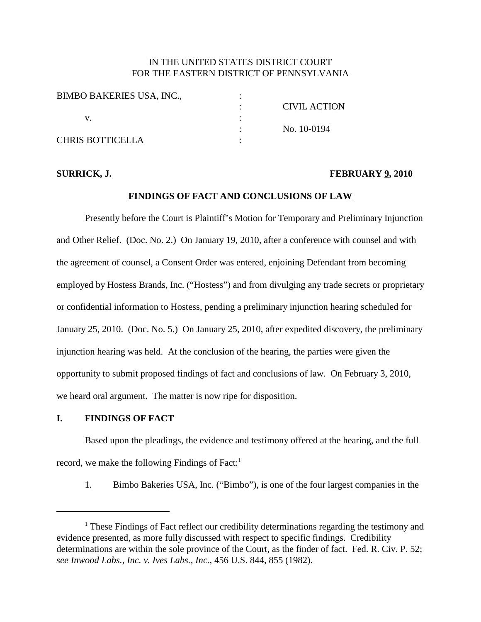## IN THE UNITED STATES DISTRICT COURT FOR THE EASTERN DISTRICT OF PENNSYLVANIA

| <b>BIMBO BAKERIES USA, INC.,</b> |                     |
|----------------------------------|---------------------|
|                                  | <b>CIVIL ACTION</b> |
|                                  |                     |
|                                  | No. 10-0194         |
| <b>CHRIS BOTTICELLA</b>          |                     |

#### **SURRICK, J. FEBRUARY 9, 2010**

## **FINDINGS OF FACT AND CONCLUSIONS OF LAW**

Presently before the Court is Plaintiff's Motion for Temporary and Preliminary Injunction and Other Relief. (Doc. No. 2.) On January 19, 2010, after a conference with counsel and with the agreement of counsel, a Consent Order was entered, enjoining Defendant from becoming employed by Hostess Brands, Inc. ("Hostess") and from divulging any trade secrets or proprietary or confidential information to Hostess, pending a preliminary injunction hearing scheduled for January 25, 2010. (Doc. No. 5.) On January 25, 2010, after expedited discovery, the preliminary injunction hearing was held. At the conclusion of the hearing, the parties were given the opportunity to submit proposed findings of fact and conclusions of law. On February 3, 2010, we heard oral argument. The matter is now ripe for disposition.

### **I. FINDINGS OF FACT**

Based upon the pleadings, the evidence and testimony offered at the hearing, and the full record, we make the following Findings of Fact:<sup>1</sup>

1. Bimbo Bakeries USA, Inc. ("Bimbo"), is one of the four largest companies in the

<sup>&</sup>lt;sup>1</sup> These Findings of Fact reflect our credibility determinations regarding the testimony and evidence presented, as more fully discussed with respect to specific findings. Credibility determinations are within the sole province of the Court, as the finder of fact. Fed. R. Civ. P. 52; *see Inwood Labs., Inc. v. Ives Labs., Inc.*, 456 U.S. 844, 855 (1982).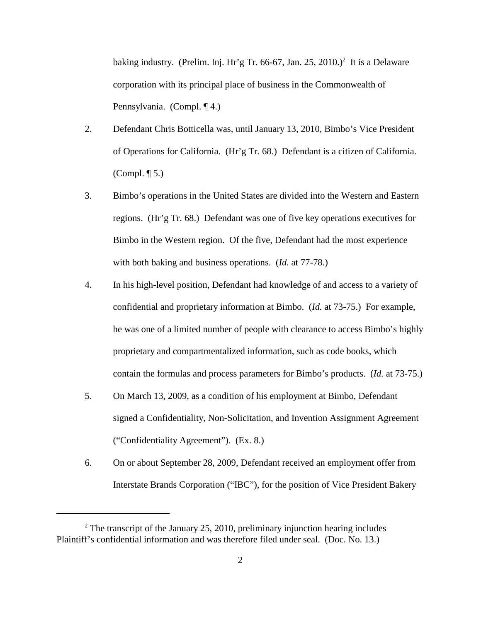baking industry. (Prelim. Inj. Hr'g Tr. 66-67, Jan. 25, 2010.) <sup>2</sup> It is a Delaware corporation with its principal place of business in the Commonwealth of Pennsylvania. (Compl. ¶ 4.)

- 2. Defendant Chris Botticella was, until January 13, 2010, Bimbo's Vice President of Operations for California. (Hr'g Tr. 68.) Defendant is a citizen of California. (Compl. ¶ 5.)
- 3. Bimbo's operations in the United States are divided into the Western and Eastern regions. (Hr'g Tr. 68.) Defendant was one of five key operations executives for Bimbo in the Western region. Of the five, Defendant had the most experience with both baking and business operations. (*Id.* at 77-78.)
- 4. In his high-level position, Defendant had knowledge of and access to a variety of confidential and proprietary information at Bimbo. (*Id.* at 73-75.) For example, he was one of a limited number of people with clearance to access Bimbo's highly proprietary and compartmentalized information, such as code books, which contain the formulas and process parameters for Bimbo's products. (*Id.* at 73-75.)
- 5. On March 13, 2009, as a condition of his employment at Bimbo, Defendant signed a Confidentiality, Non-Solicitation, and Invention Assignment Agreement ("Confidentiality Agreement"). (Ex. 8.)
- 6. On or about September 28, 2009, Defendant received an employment offer from Interstate Brands Corporation ("IBC"), for the position of Vice President Bakery

<sup>&</sup>lt;sup>2</sup> The transcript of the January 25, 2010, preliminary injunction hearing includes Plaintiff's confidential information and was therefore filed under seal. (Doc. No. 13.)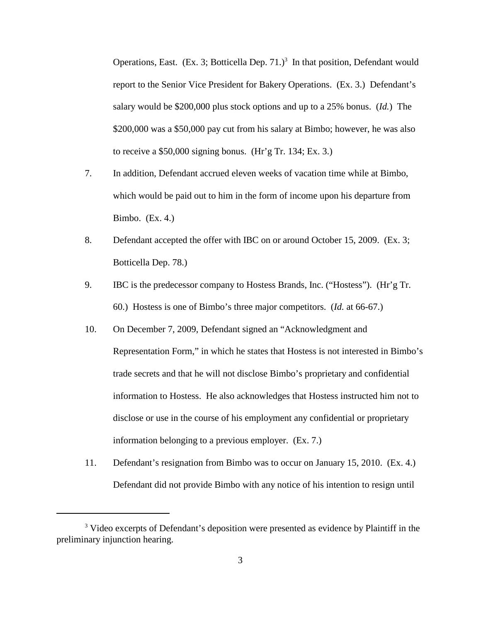Operations, East. (Ex. 3; Botticella Dep. 71.) <sup>3</sup> In that position, Defendant would report to the Senior Vice President for Bakery Operations. (Ex. 3.) Defendant's salary would be \$200,000 plus stock options and up to a 25% bonus. (*Id.*) The \$200,000 was a \$50,000 pay cut from his salary at Bimbo; however, he was also to receive a \$50,000 signing bonus. (Hr'g Tr. 134; Ex. 3.)

- 7. In addition, Defendant accrued eleven weeks of vacation time while at Bimbo, which would be paid out to him in the form of income upon his departure from Bimbo. (Ex. 4.)
- 8. Defendant accepted the offer with IBC on or around October 15, 2009. (Ex. 3; Botticella Dep. 78.)
- 9. IBC is the predecessor company to Hostess Brands, Inc. ("Hostess"). (Hr'g Tr. 60.) Hostess is one of Bimbo's three major competitors. (*Id.* at 66-67.)
- 10. On December 7, 2009, Defendant signed an "Acknowledgment and Representation Form," in which he states that Hostess is not interested in Bimbo's trade secrets and that he will not disclose Bimbo's proprietary and confidential information to Hostess. He also acknowledges that Hostess instructed him not to disclose or use in the course of his employment any confidential or proprietary information belonging to a previous employer. (Ex. 7.)
- 11. Defendant's resignation from Bimbo was to occur on January 15, 2010. (Ex. 4.) Defendant did not provide Bimbo with any notice of his intention to resign until

<sup>&</sup>lt;sup>3</sup> Video excerpts of Defendant's deposition were presented as evidence by Plaintiff in the preliminary injunction hearing.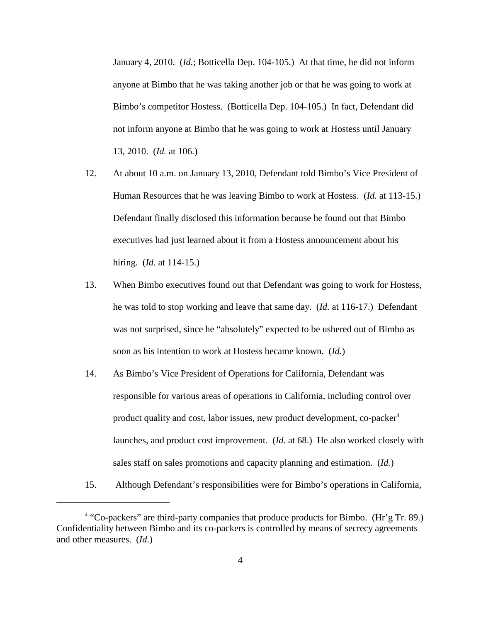January 4, 2010. (*Id.*; Botticella Dep. 104-105.) At that time, he did not inform anyone at Bimbo that he was taking another job or that he was going to work at Bimbo's competitor Hostess. (Botticella Dep. 104-105.) In fact, Defendant did not inform anyone at Bimbo that he was going to work at Hostess until January 13, 2010. (*Id.* at 106.)

- 12. At about 10 a.m. on January 13, 2010, Defendant told Bimbo's Vice President of Human Resources that he was leaving Bimbo to work at Hostess. (*Id.* at 113-15.) Defendant finally disclosed this information because he found out that Bimbo executives had just learned about it from a Hostess announcement about his hiring. (*Id.* at 114-15.)
- 13. When Bimbo executives found out that Defendant was going to work for Hostess, he was told to stop working and leave that same day. (*Id.* at 116-17.) Defendant was not surprised, since he "absolutely" expected to be ushered out of Bimbo as soon as his intention to work at Hostess became known. (*Id.*)
- 14. As Bimbo's Vice President of Operations for California, Defendant was responsible for various areas of operations in California, including control over product quality and cost, labor issues, new product development, co-packer 4 launches, and product cost improvement. (*Id.* at 68.) He also worked closely with sales staff on sales promotions and capacity planning and estimation. (*Id.*)
- 15. Although Defendant's responsibilities were for Bimbo's operations in California,

<sup>&</sup>lt;sup>4</sup> "Co-packers" are third-party companies that produce products for Bimbo. (Hr'g Tr. 89.) Confidentiality between Bimbo and its co-packers is controlled by means of secrecy agreements and other measures. (*Id.*)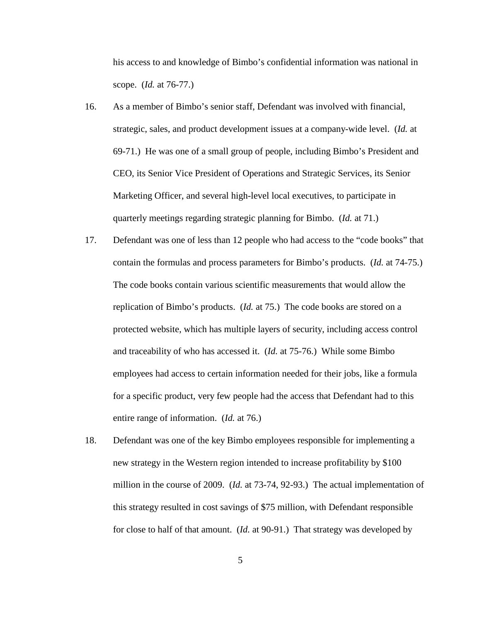his access to and knowledge of Bimbo's confidential information was national in scope. (*Id.* at 76-77.)

- 16. As a member of Bimbo's senior staff, Defendant was involved with financial, strategic, sales, and product development issues at a company-wide level. (*Id.* at 69-71.) He was one of a small group of people, including Bimbo's President and CEO, its Senior Vice President of Operations and Strategic Services, its Senior Marketing Officer, and several high-level local executives, to participate in quarterly meetings regarding strategic planning for Bimbo. (*Id.* at 71.)
- 17. Defendant was one of less than 12 people who had access to the "code books" that contain the formulas and process parameters for Bimbo's products. (*Id.* at 74-75.) The code books contain various scientific measurements that would allow the replication of Bimbo's products. (*Id.* at 75.) The code books are stored on a protected website, which has multiple layers of security, including access control and traceability of who has accessed it. (*Id.* at 75-76.) While some Bimbo employees had access to certain information needed for their jobs, like a formula for a specific product, very few people had the access that Defendant had to this entire range of information. (*Id.* at 76.)
- 18. Defendant was one of the key Bimbo employees responsible for implementing a new strategy in the Western region intended to increase profitability by \$100 million in the course of 2009. (*Id.* at 73-74, 92-93.) The actual implementation of this strategy resulted in cost savings of \$75 million, with Defendant responsible for close to half of that amount. (*Id.* at 90-91.) That strategy was developed by

5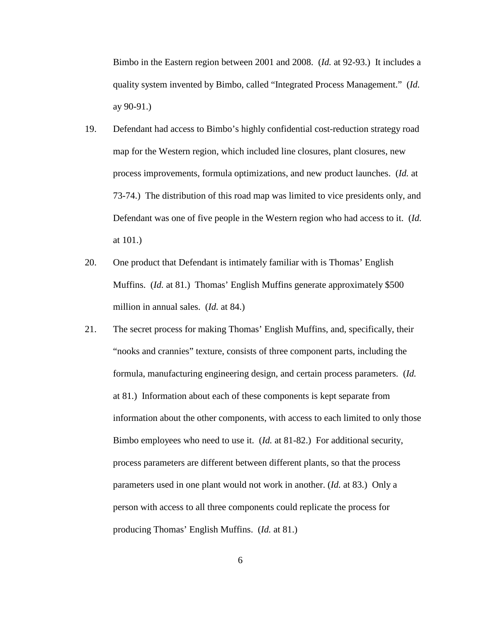Bimbo in the Eastern region between 2001 and 2008. (*Id.* at 92-93.) It includes a quality system invented by Bimbo, called "Integrated Process Management." (*Id.* ay 90-91.)

- 19. Defendant had access to Bimbo's highly confidential cost-reduction strategy road map for the Western region, which included line closures, plant closures, new process improvements, formula optimizations, and new product launches. (*Id.* at 73-74.) The distribution of this road map was limited to vice presidents only, and Defendant was one of five people in the Western region who had access to it. (*Id.* at 101.)
- 20. One product that Defendant is intimately familiar with is Thomas' English Muffins. (*Id.* at 81.) Thomas' English Muffins generate approximately \$500 million in annual sales. (*Id.* at 84.)
- 21. The secret process for making Thomas' English Muffins, and, specifically, their "nooks and crannies" texture, consists of three component parts, including the formula, manufacturing engineering design, and certain process parameters. (*Id.* at 81.) Information about each of these components is kept separate from information about the other components, with access to each limited to only those Bimbo employees who need to use it. (*Id.* at 81-82.) For additional security, process parameters are different between different plants, so that the process parameters used in one plant would not work in another. (*Id.* at 83.) Only a person with access to all three components could replicate the process for producing Thomas' English Muffins. (*Id.* at 81.)

6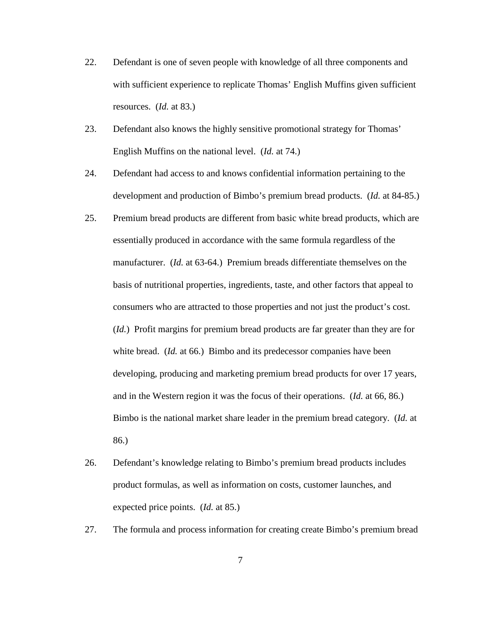- 22. Defendant is one of seven people with knowledge of all three components and with sufficient experience to replicate Thomas' English Muffins given sufficient resources. (*Id.* at 83.)
- 23. Defendant also knows the highly sensitive promotional strategy for Thomas' English Muffins on the national level. (*Id.* at 74.)
- 24. Defendant had access to and knows confidential information pertaining to the development and production of Bimbo's premium bread products. (*Id.* at 84-85.)
- 25. Premium bread products are different from basic white bread products, which are essentially produced in accordance with the same formula regardless of the manufacturer. (*Id.* at 63-64.) Premium breads differentiate themselves on the basis of nutritional properties, ingredients, taste, and other factors that appeal to consumers who are attracted to those properties and not just the product's cost. (*Id.*) Profit margins for premium bread products are far greater than they are for white bread. (*Id.* at 66.) Bimbo and its predecessor companies have been developing, producing and marketing premium bread products for over 17 years, and in the Western region it was the focus of their operations. (*Id.* at 66, 86.) Bimbo is the national market share leader in the premium bread category. (*Id.* at 86.)
- 26. Defendant's knowledge relating to Bimbo's premium bread products includes product formulas, as well as information on costs, customer launches, and expected price points. (*Id.* at 85.)
- 27. The formula and process information for creating create Bimbo's premium bread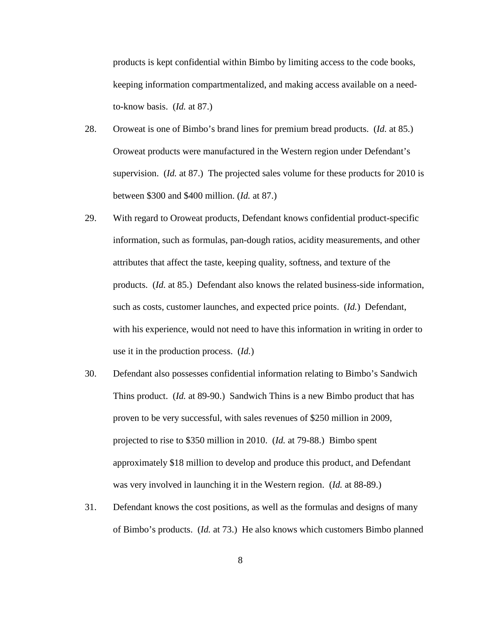products is kept confidential within Bimbo by limiting access to the code books, keeping information compartmentalized, and making access available on a needto-know basis. (*Id.* at 87.)

- 28. Oroweat is one of Bimbo's brand lines for premium bread products. (*Id.* at 85.) Oroweat products were manufactured in the Western region under Defendant's supervision. (*Id.* at 87.) The projected sales volume for these products for 2010 is between \$300 and \$400 million. (*Id.* at 87.)
- 29. With regard to Oroweat products, Defendant knows confidential product-specific information, such as formulas, pan-dough ratios, acidity measurements, and other attributes that affect the taste, keeping quality, softness, and texture of the products. (*Id.* at 85.) Defendant also knows the related business-side information, such as costs, customer launches, and expected price points. (*Id.*) Defendant, with his experience, would not need to have this information in writing in order to use it in the production process. (*Id.*)
- 30. Defendant also possesses confidential information relating to Bimbo's Sandwich Thins product. (*Id.* at 89-90.) Sandwich Thins is a new Bimbo product that has proven to be very successful, with sales revenues of \$250 million in 2009, projected to rise to \$350 million in 2010. (*Id.* at 79-88.) Bimbo spent approximately \$18 million to develop and produce this product, and Defendant was very involved in launching it in the Western region. (*Id.* at 88-89.)
- 31. Defendant knows the cost positions, as well as the formulas and designs of many of Bimbo's products. (*Id.* at 73.) He also knows which customers Bimbo planned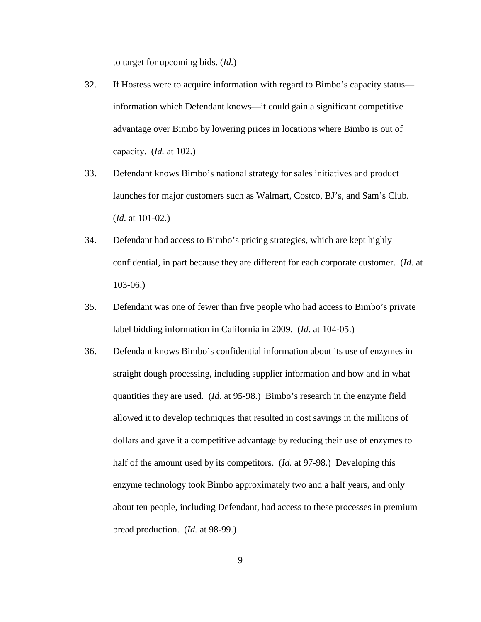to target for upcoming bids. (*Id.*)

- 32. If Hostess were to acquire information with regard to Bimbo's capacity status information which Defendant knows—it could gain a significant competitive advantage over Bimbo by lowering prices in locations where Bimbo is out of capacity. (*Id.* at 102.)
- 33. Defendant knows Bimbo's national strategy for sales initiatives and product launches for major customers such as Walmart, Costco, BJ's, and Sam's Club. (*Id.* at 101-02.)
- 34. Defendant had access to Bimbo's pricing strategies, which are kept highly confidential, in part because they are different for each corporate customer. (*Id.* at 103-06.)
- 35. Defendant was one of fewer than five people who had access to Bimbo's private label bidding information in California in 2009. (*Id.* at 104-05.)
- 36. Defendant knows Bimbo's confidential information about its use of enzymes in straight dough processing, including supplier information and how and in what quantities they are used. (*Id.* at 95-98.) Bimbo's research in the enzyme field allowed it to develop techniques that resulted in cost savings in the millions of dollars and gave it a competitive advantage by reducing their use of enzymes to half of the amount used by its competitors. (*Id.* at 97-98.) Developing this enzyme technology took Bimbo approximately two and a half years, and only about ten people, including Defendant, had access to these processes in premium bread production. (*Id.* at 98-99.)

9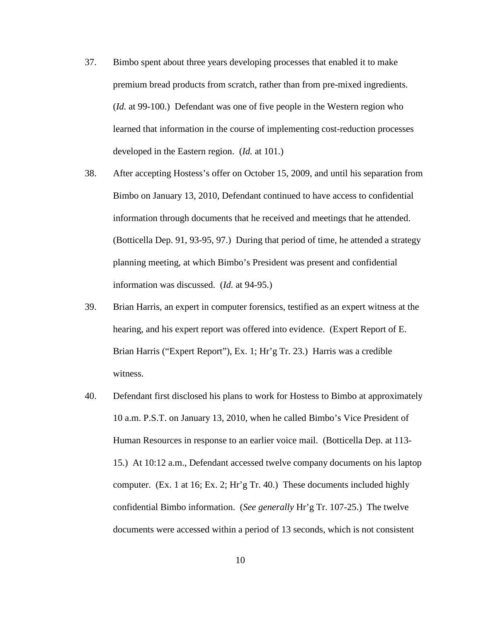- 37. Bimbo spent about three years developing processes that enabled it to make premium bread products from scratch, rather than from pre-mixed ingredients. (*Id.* at 99-100.) Defendant was one of five people in the Western region who learned that information in the course of implementing cost-reduction processes developed in the Eastern region. (*Id.* at 101.)
- 38. After accepting Hostess's offer on October 15, 2009, and until his separation from Bimbo on January 13, 2010, Defendant continued to have access to confidential information through documents that he received and meetings that he attended. (Botticella Dep. 91, 93-95, 97.) During that period of time, he attended a strategy planning meeting, at which Bimbo's President was present and confidential information was discussed. (*Id.* at 94-95.)
- 39. Brian Harris, an expert in computer forensics, testified as an expert witness at the hearing, and his expert report was offered into evidence. (Expert Report of E. Brian Harris ("Expert Report"), Ex. 1; Hr'g Tr. 23.) Harris was a credible witness.
- 40. Defendant first disclosed his plans to work for Hostess to Bimbo at approximately 10 a.m. P.S.T. on January 13, 2010, when he called Bimbo's Vice President of Human Resources in response to an earlier voice mail. (Botticella Dep. at 113- 15.) At 10:12 a.m., Defendant accessed twelve company documents on his laptop computer. (Ex. 1 at 16; Ex. 2; Hr'g Tr. 40.) These documents included highly confidential Bimbo information. (*See generally* Hr'g Tr. 107-25.) The twelve documents were accessed within a period of 13 seconds, which is not consistent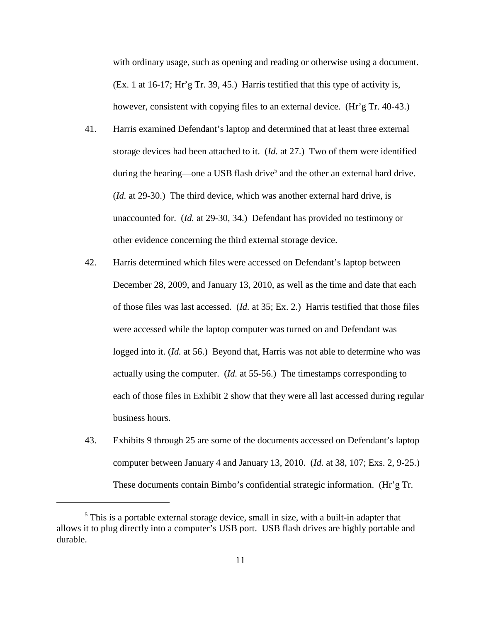with ordinary usage, such as opening and reading or otherwise using a document. (Ex. 1 at 16-17; Hr'g Tr. 39, 45.) Harris testified that this type of activity is, however, consistent with copying files to an external device. (Hr'g Tr. 40-43.)

- 41. Harris examined Defendant's laptop and determined that at least three external storage devices had been attached to it. (*Id.* at 27.) Two of them were identified during the hearing—one a USB flash drive<sup>5</sup> and the other an external hard drive. (*Id.* at 29-30.) The third device, which was another external hard drive, is unaccounted for. (*Id.* at 29-30, 34.) Defendant has provided no testimony or other evidence concerning the third external storage device.
- 42. Harris determined which files were accessed on Defendant's laptop between December 28, 2009, and January 13, 2010, as well as the time and date that each of those files was last accessed. (*Id.* at 35; Ex. 2.) Harris testified that those files were accessed while the laptop computer was turned on and Defendant was logged into it. (*Id.* at 56.) Beyond that, Harris was not able to determine who was actually using the computer. (*Id.* at 55-56.) The timestamps corresponding to each of those files in Exhibit 2 show that they were all last accessed during regular business hours.
- 43. Exhibits 9 through 25 are some of the documents accessed on Defendant's laptop computer between January 4 and January 13, 2010. (*Id.* at 38, 107; Exs. 2, 9-25.) These documents contain Bimbo's confidential strategic information. (Hr'g Tr.

<sup>&</sup>lt;sup>5</sup> This is a portable external storage device, small in size, with a built-in adapter that allows it to plug directly into a computer's USB port. USB flash drives are highly portable and durable.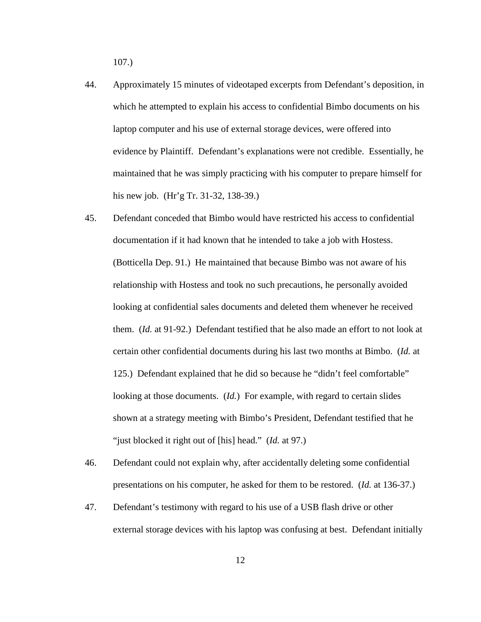107.)

- 44. Approximately 15 minutes of videotaped excerpts from Defendant's deposition, in which he attempted to explain his access to confidential Bimbo documents on his laptop computer and his use of external storage devices, were offered into evidence by Plaintiff. Defendant's explanations were not credible. Essentially, he maintained that he was simply practicing with his computer to prepare himself for his new job. (Hr'g Tr. 31-32, 138-39.)
- 45. Defendant conceded that Bimbo would have restricted his access to confidential documentation if it had known that he intended to take a job with Hostess. (Botticella Dep. 91.) He maintained that because Bimbo was not aware of his relationship with Hostess and took no such precautions, he personally avoided looking at confidential sales documents and deleted them whenever he received them. (*Id.* at 91-92.) Defendant testified that he also made an effort to not look at certain other confidential documents during his last two months at Bimbo. (*Id.* at 125.) Defendant explained that he did so because he "didn't feel comfortable" looking at those documents. (*Id.*) For example, with regard to certain slides shown at a strategy meeting with Bimbo's President, Defendant testified that he "just blocked it right out of [his] head." (*Id.* at 97.)
- 46. Defendant could not explain why, after accidentally deleting some confidential presentations on his computer, he asked for them to be restored. (*Id.* at 136-37.)
- 47. Defendant's testimony with regard to his use of a USB flash drive or other external storage devices with his laptop was confusing at best. Defendant initially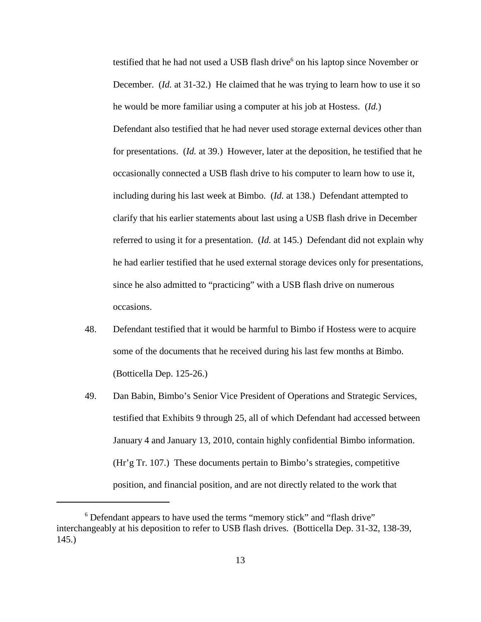testified that he had not used a USB flash drive<sup>6</sup> on his laptop since November or December. (*Id.* at 31-32.) He claimed that he was trying to learn how to use it so he would be more familiar using a computer at his job at Hostess. (*Id.*) Defendant also testified that he had never used storage external devices other than for presentations. (*Id.* at 39.) However, later at the deposition, he testified that he occasionally connected a USB flash drive to his computer to learn how to use it, including during his last week at Bimbo. (*Id.* at 138.) Defendant attempted to clarify that his earlier statements about last using a USB flash drive in December referred to using it for a presentation. (*Id.* at 145.) Defendant did not explain why he had earlier testified that he used external storage devices only for presentations, since he also admitted to "practicing" with a USB flash drive on numerous occasions.

- 48. Defendant testified that it would be harmful to Bimbo if Hostess were to acquire some of the documents that he received during his last few months at Bimbo. (Botticella Dep. 125-26.)
- 49. Dan Babin, Bimbo's Senior Vice President of Operations and Strategic Services, testified that Exhibits 9 through 25, all of which Defendant had accessed between January 4 and January 13, 2010, contain highly confidential Bimbo information. (Hr'g Tr. 107.) These documents pertain to Bimbo's strategies, competitive position, and financial position, and are not directly related to the work that

<sup>&</sup>lt;sup>6</sup> Defendant appears to have used the terms "memory stick" and "flash drive" interchangeably at his deposition to refer to USB flash drives. (Botticella Dep. 31-32, 138-39, 145.)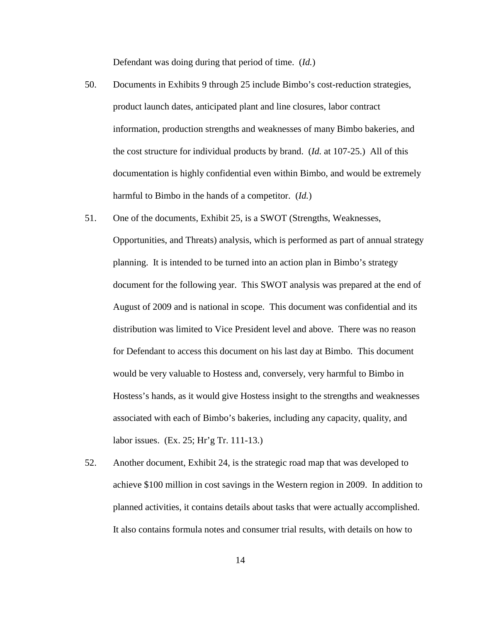Defendant was doing during that period of time. (*Id.*)

- 50. Documents in Exhibits 9 through 25 include Bimbo's cost-reduction strategies, product launch dates, anticipated plant and line closures, labor contract information, production strengths and weaknesses of many Bimbo bakeries, and the cost structure for individual products by brand. (*Id.* at 107-25.) All of this documentation is highly confidential even within Bimbo, and would be extremely harmful to Bimbo in the hands of a competitor. (*Id.*)
- 51. One of the documents, Exhibit 25, is a SWOT (Strengths, Weaknesses, Opportunities, and Threats) analysis, which is performed as part of annual strategy planning. It is intended to be turned into an action plan in Bimbo's strategy document for the following year. This SWOT analysis was prepared at the end of August of 2009 and is national in scope. This document was confidential and its distribution was limited to Vice President level and above. There was no reason for Defendant to access this document on his last day at Bimbo. This document would be very valuable to Hostess and, conversely, very harmful to Bimbo in Hostess's hands, as it would give Hostess insight to the strengths and weaknesses associated with each of Bimbo's bakeries, including any capacity, quality, and labor issues. (Ex. 25; Hr'g Tr. 111-13.)
- 52. Another document, Exhibit 24, is the strategic road map that was developed to achieve \$100 million in cost savings in the Western region in 2009. In addition to planned activities, it contains details about tasks that were actually accomplished. It also contains formula notes and consumer trial results, with details on how to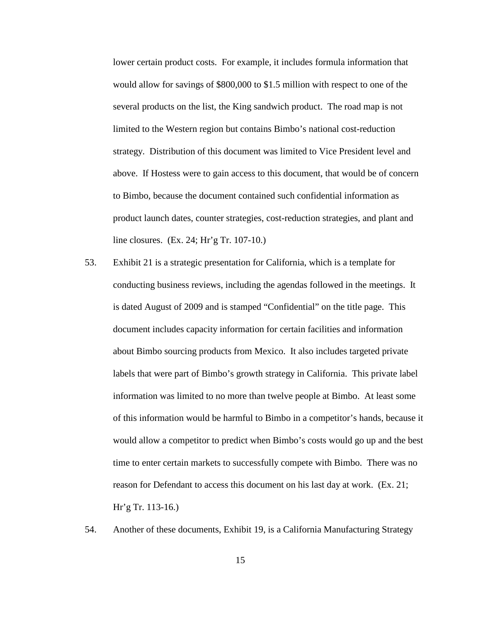lower certain product costs. For example, it includes formula information that would allow for savings of \$800,000 to \$1.5 million with respect to one of the several products on the list, the King sandwich product. The road map is not limited to the Western region but contains Bimbo's national cost-reduction strategy. Distribution of this document was limited to Vice President level and above. If Hostess were to gain access to this document, that would be of concern to Bimbo, because the document contained such confidential information as product launch dates, counter strategies, cost-reduction strategies, and plant and line closures. (Ex. 24; Hr'g Tr. 107-10.)

- 53. Exhibit 21 is a strategic presentation for California, which is a template for conducting business reviews, including the agendas followed in the meetings. It is dated August of 2009 and is stamped "Confidential" on the title page. This document includes capacity information for certain facilities and information about Bimbo sourcing products from Mexico. It also includes targeted private labels that were part of Bimbo's growth strategy in California. This private label information was limited to no more than twelve people at Bimbo. At least some of this information would be harmful to Bimbo in a competitor's hands, because it would allow a competitor to predict when Bimbo's costs would go up and the best time to enter certain markets to successfully compete with Bimbo. There was no reason for Defendant to access this document on his last day at work. (Ex. 21; Hr'g Tr. 113-16.)
- 54. Another of these documents, Exhibit 19, is a California Manufacturing Strategy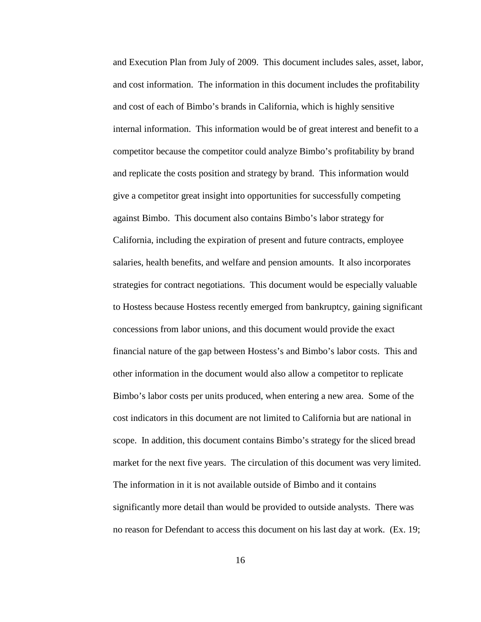and Execution Plan from July of 2009. This document includes sales, asset, labor, and cost information. The information in this document includes the profitability and cost of each of Bimbo's brands in California, which is highly sensitive internal information. This information would be of great interest and benefit to a competitor because the competitor could analyze Bimbo's profitability by brand and replicate the costs position and strategy by brand. This information would give a competitor great insight into opportunities for successfully competing against Bimbo. This document also contains Bimbo's labor strategy for California, including the expiration of present and future contracts, employee salaries, health benefits, and welfare and pension amounts. It also incorporates strategies for contract negotiations. This document would be especially valuable to Hostess because Hostess recently emerged from bankruptcy, gaining significant concessions from labor unions, and this document would provide the exact financial nature of the gap between Hostess's and Bimbo's labor costs. This and other information in the document would also allow a competitor to replicate Bimbo's labor costs per units produced, when entering a new area. Some of the cost indicators in this document are not limited to California but are national in scope. In addition, this document contains Bimbo's strategy for the sliced bread market for the next five years. The circulation of this document was very limited. The information in it is not available outside of Bimbo and it contains significantly more detail than would be provided to outside analysts. There was no reason for Defendant to access this document on his last day at work. (Ex. 19;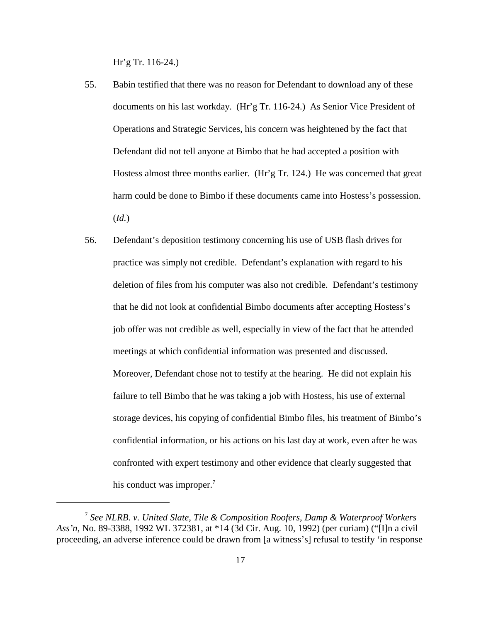Hr'g Tr. 116-24.)

- 55. Babin testified that there was no reason for Defendant to download any of these documents on his last workday. (Hr'g Tr. 116-24.) As Senior Vice President of Operations and Strategic Services, his concern was heightened by the fact that Defendant did not tell anyone at Bimbo that he had accepted a position with Hostess almost three months earlier. (Hr'g Tr. 124.) He was concerned that great harm could be done to Bimbo if these documents came into Hostess's possession. (*Id.*)
- 56. Defendant's deposition testimony concerning his use of USB flash drives for practice was simply not credible. Defendant's explanation with regard to his deletion of files from his computer was also not credible. Defendant's testimony that he did not look at confidential Bimbo documents after accepting Hostess's job offer was not credible as well, especially in view of the fact that he attended meetings at which confidential information was presented and discussed. Moreover, Defendant chose not to testify at the hearing. He did not explain his failure to tell Bimbo that he was taking a job with Hostess, his use of external storage devices, his copying of confidential Bimbo files, his treatment of Bimbo's confidential information, or his actions on his last day at work, even after he was confronted with expert testimony and other evidence that clearly suggested that his conduct was improper.<sup>7</sup>

<sup>7</sup> *See NLRB. v. United Slate, Tile & Composition Roofers, Damp & Waterproof Workers Ass'n*, No. 89-3388, 1992 WL 372381, at \*14 (3d Cir. Aug. 10, 1992) (per curiam) ("[I]n a civil proceeding, an adverse inference could be drawn from [a witness's] refusal to testify 'in response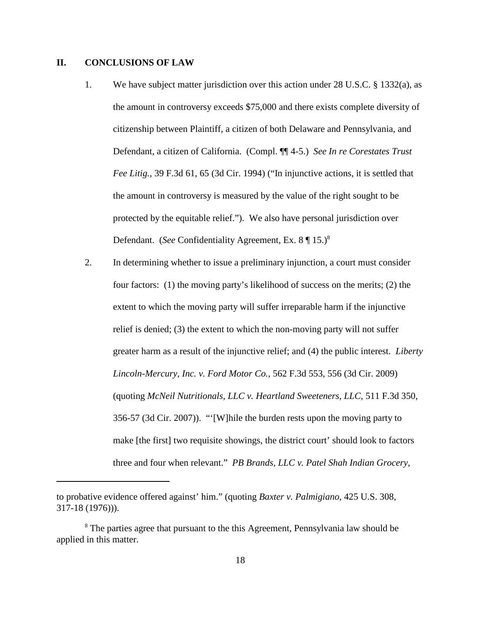## **II. CONCLUSIONS OF LAW**

- 1. We have subject matter jurisdiction over this action under 28 U.S.C. § 1332(a), as the amount in controversy exceeds \$75,000 and there exists complete diversity of citizenship between Plaintiff, a citizen of both Delaware and Pennsylvania, and Defendant, a citizen of California. (Compl. ¶¶ 4-5.) *See In re Corestates Trust Fee Litig.*, 39 F.3d 61, 65 (3d Cir. 1994) ("In injunctive actions, it is settled that the amount in controversy is measured by the value of the right sought to be protected by the equitable relief."). We also have personal jurisdiction over Defendant. (See Confidentiality Agreement, Ex. 8 | 15.)<sup>8</sup>
- 2. In determining whether to issue a preliminary injunction, a court must consider four factors: (1) the moving party's likelihood of success on the merits; (2) the extent to which the moving party will suffer irreparable harm if the injunctive relief is denied; (3) the extent to which the non-moving party will not suffer greater harm as a result of the injunctive relief; and (4) the public interest. *Liberty Lincoln-Mercury, Inc. v. Ford Motor Co.*, 562 F.3d 553, 556 (3d Cir. 2009) (quoting *McNeil Nutritionals, LLC v. Heartland Sweeteners, LLC*, 511 F.3d 350, 356-57 (3d Cir. 2007)). "'[W]hile the burden rests upon the moving party to make [the first] two requisite showings, the district court' should look to factors three and four when relevant." *PB Brands, LLC v. Patel Shah Indian Grocery*,

to probative evidence offered against' him." (quoting *Baxter v. Palmigiano*, 425 U.S. 308, 317-18 (1976))).

<sup>&</sup>lt;sup>8</sup> The parties agree that pursuant to the this Agreement, Pennsylvania law should be applied in this matter.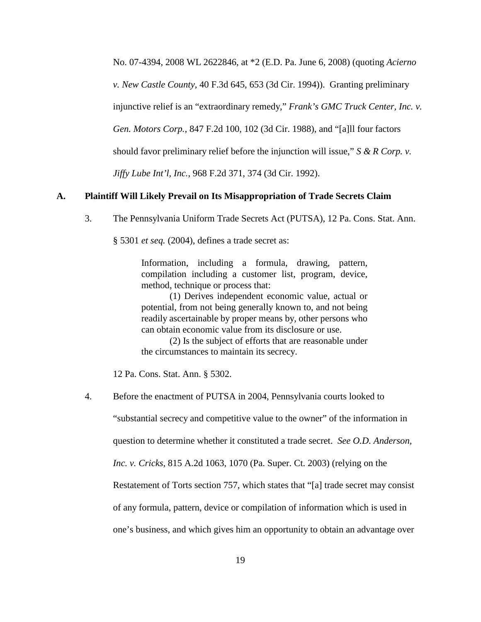No. 07-4394, 2008 WL 2622846, at \*2 (E.D. Pa. June 6, 2008) (quoting *Acierno*

*v. New Castle County*, 40 F.3d 645, 653 (3d Cir. 1994)). Granting preliminary

injunctive relief is an "extraordinary remedy," *Frank's GMC Truck Center, Inc. v.*

*Gen. Motors Corp.*, 847 F.2d 100, 102 (3d Cir. 1988), and "[a]ll four factors

should favor preliminary relief before the injunction will issue," *S & R Corp. v.*

*Jiffy Lube Int'l, Inc.*, 968 F.2d 371, 374 (3d Cir. 1992).

#### **A. Plaintiff Will Likely Prevail on Its Misappropriation of Trade Secrets Claim**

3. The Pennsylvania Uniform Trade Secrets Act (PUTSA), 12 Pa. Cons. Stat. Ann.

§ 5301 *et seq.* (2004), defines a trade secret as:

Information, including a formula, drawing, pattern, compilation including a customer list, program, device, method, technique or process that:

(1) Derives independent economic value, actual or potential, from not being generally known to, and not being readily ascertainable by proper means by, other persons who can obtain economic value from its disclosure or use.

(2) Is the subject of efforts that are reasonable under the circumstances to maintain its secrecy.

12 Pa. Cons. Stat. Ann. § 5302.

4. Before the enactment of PUTSA in 2004, Pennsylvania courts looked to "substantial secrecy and competitive value to the owner" of the information in question to determine whether it constituted a trade secret. *See O.D. Anderson, Inc. v. Cricks*, 815 A.2d 1063, 1070 (Pa. Super. Ct. 2003) (relying on the Restatement of Torts section 757, which states that "[a] trade secret may consist of any formula, pattern, device or compilation of information which is used in one's business, and which gives him an opportunity to obtain an advantage over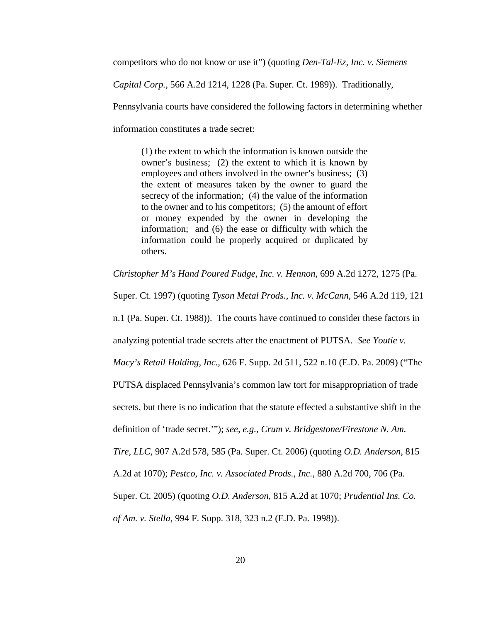competitors who do not know or use it") (quoting *Den-Tal-Ez, Inc. v. Siemens*

*Capital Corp.*, 566 A.2d 1214, 1228 (Pa. Super. Ct. 1989)). Traditionally,

Pennsylvania courts have considered the following factors in determining whether

information constitutes a trade secret:

(1) the extent to which the information is known outside the owner's business; (2) the extent to which it is known by employees and others involved in the owner's business; (3) the extent of measures taken by the owner to guard the secrecy of the information; (4) the value of the information to the owner and to his competitors; (5) the amount of effort or money expended by the owner in developing the information; and (6) the ease or difficulty with which the information could be properly acquired or duplicated by others.

*Christopher M's Hand Poured Fudge, Inc. v. Hennon*, 699 A.2d 1272, 1275 (Pa.

Super. Ct. 1997) (quoting *Tyson Metal Prods., Inc. v. McCann*, 546 A.2d 119, 121

n.1 (Pa. Super. Ct. 1988)). The courts have continued to consider these factors in

analyzing potential trade secrets after the enactment of PUTSA. *See Youtie v.*

*Macy's Retail Holding, Inc.*, 626 F. Supp. 2d 511, 522 n.10 (E.D. Pa. 2009) ("The

PUTSA displaced Pennsylvania's common law tort for misappropriation of trade

secrets, but there is no indication that the statute effected a substantive shift in the

definition of 'trade secret.'"); *see, e.g.*, *Crum v. Bridgestone/Firestone N. Am.*

*Tire, LLC*, 907 A.2d 578, 585 (Pa. Super. Ct. 2006) (quoting *O.D. Anderson*, 815

A.2d at 1070); *Pestco, Inc. v. Associated Prods., Inc.*, 880 A.2d 700, 706 (Pa.

Super. Ct. 2005) (quoting *O.D. Anderson*, 815 A.2d at 1070; *Prudential Ins. Co.*

*of Am. v. Stella*, 994 F. Supp. 318, 323 n.2 (E.D. Pa. 1998)).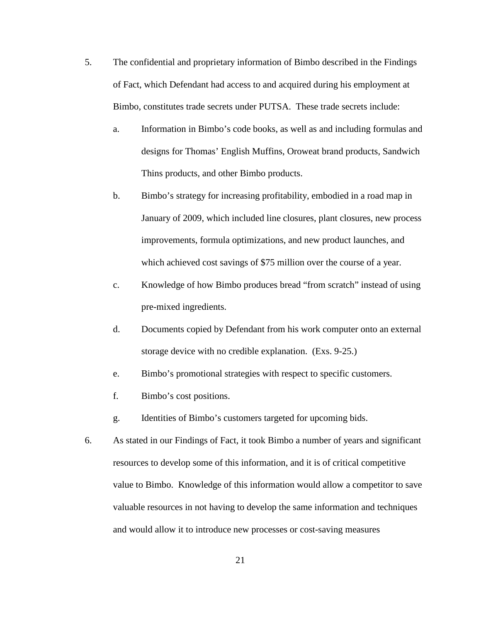- 5. The confidential and proprietary information of Bimbo described in the Findings of Fact, which Defendant had access to and acquired during his employment at Bimbo, constitutes trade secrets under PUTSA. These trade secrets include:
	- a. Information in Bimbo's code books, as well as and including formulas and designs for Thomas' English Muffins, Oroweat brand products, Sandwich Thins products, and other Bimbo products.
	- b. Bimbo's strategy for increasing profitability, embodied in a road map in January of 2009, which included line closures, plant closures, new process improvements, formula optimizations, and new product launches, and which achieved cost savings of \$75 million over the course of a year.
	- c. Knowledge of how Bimbo produces bread "from scratch" instead of using pre-mixed ingredients.
	- d. Documents copied by Defendant from his work computer onto an external storage device with no credible explanation. (Exs. 9-25.)
	- e. Bimbo's promotional strategies with respect to specific customers.
	- f. Bimbo's cost positions.
	- g. Identities of Bimbo's customers targeted for upcoming bids.
- 6. As stated in our Findings of Fact, it took Bimbo a number of years and significant resources to develop some of this information, and it is of critical competitive value to Bimbo. Knowledge of this information would allow a competitor to save valuable resources in not having to develop the same information and techniques and would allow it to introduce new processes or cost-saving measures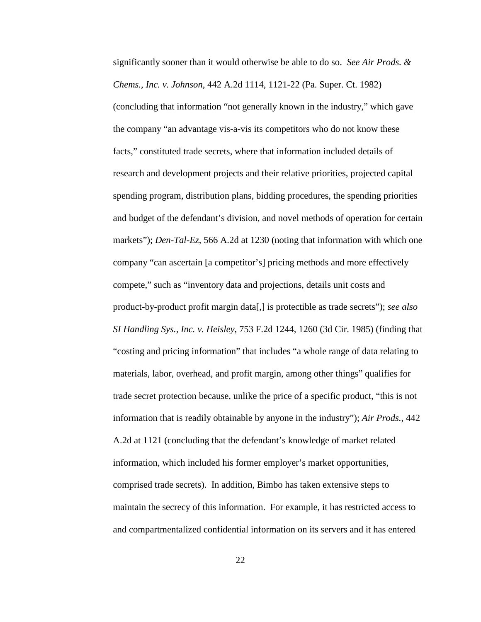significantly sooner than it would otherwise be able to do so. *See Air Prods. & Chems., Inc. v. Johnson*, 442 A.2d 1114, 1121-22 (Pa. Super. Ct. 1982) (concluding that information "not generally known in the industry," which gave the company "an advantage vis-a-vis its competitors who do not know these facts," constituted trade secrets, where that information included details of research and development projects and their relative priorities, projected capital spending program, distribution plans, bidding procedures, the spending priorities and budget of the defendant's division, and novel methods of operation for certain markets"); *Den-Tal-Ez*, 566 A.2d at 1230 (noting that information with which one company "can ascertain [a competitor's] pricing methods and more effectively compete," such as "inventory data and projections, details unit costs and product-by-product profit margin data[,] is protectible as trade secrets"); *see also SI Handling Sys., Inc. v. Heisley*, 753 F.2d 1244, 1260 (3d Cir. 1985) (finding that "costing and pricing information" that includes "a whole range of data relating to materials, labor, overhead, and profit margin, among other things" qualifies for trade secret protection because, unlike the price of a specific product, "this is not information that is readily obtainable by anyone in the industry"); *Air Prods.*, 442 A.2d at 1121 (concluding that the defendant's knowledge of market related information, which included his former employer's market opportunities, comprised trade secrets). In addition, Bimbo has taken extensive steps to maintain the secrecy of this information. For example, it has restricted access to and compartmentalized confidential information on its servers and it has entered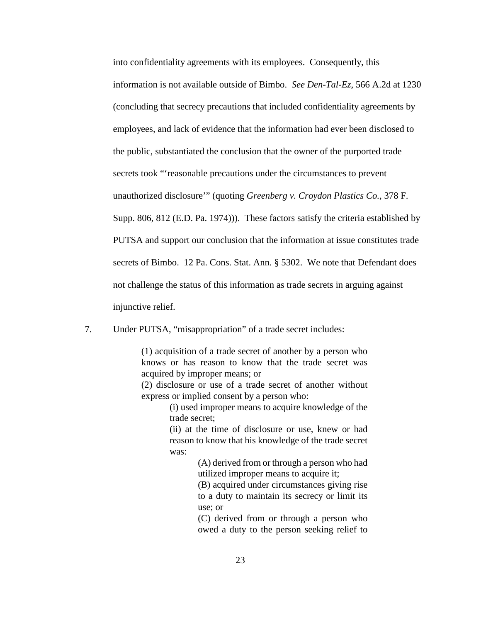into confidentiality agreements with its employees. Consequently, this information is not available outside of Bimbo. *See Den-Tal-Ez*, 566 A.2d at 1230 (concluding that secrecy precautions that included confidentiality agreements by employees, and lack of evidence that the information had ever been disclosed to the public, substantiated the conclusion that the owner of the purported trade secrets took "'reasonable precautions under the circumstances to prevent unauthorized disclosure'" (quoting *Greenberg v. Croydon Plastics Co.*, 378 F. Supp. 806, 812 (E.D. Pa. 1974))). These factors satisfy the criteria established by PUTSA and support our conclusion that the information at issue constitutes trade secrets of Bimbo. 12 Pa. Cons. Stat. Ann. § 5302. We note that Defendant does not challenge the status of this information as trade secrets in arguing against injunctive relief.

7. Under PUTSA, "misappropriation" of a trade secret includes:

(1) acquisition of a trade secret of another by a person who knows or has reason to know that the trade secret was acquired by improper means; or

(2) disclosure or use of a trade secret of another without express or implied consent by a person who:

> (i) used improper means to acquire knowledge of the trade secret;

> (ii) at the time of disclosure or use, knew or had reason to know that his knowledge of the trade secret was:

> > (A) derived from or through a person who had utilized improper means to acquire it;

(B) acquired under circumstances giving rise to a duty to maintain its secrecy or limit its use; or

(C) derived from or through a person who owed a duty to the person seeking relief to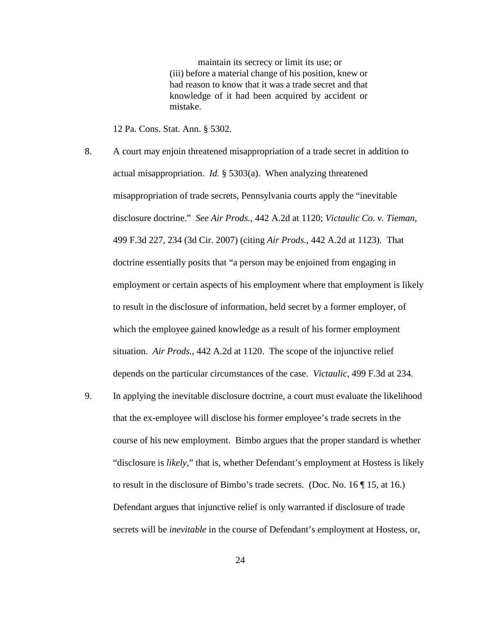maintain its secrecy or limit its use; or (iii) before a material change of his position, knew or had reason to know that it was a trade secret and that knowledge of it had been acquired by accident or mistake.

12 Pa. Cons. Stat. Ann. § 5302.

- 8. A court may enjoin threatened misappropriation of a trade secret in addition to actual misappropriation. *Id.* § 5303(a). When analyzing threatened misappropriation of trade secrets, Pennsylvania courts apply the "inevitable disclosure doctrine." *See Air Prods.*, 442 A.2d at 1120; *Victaulic Co. v. Tieman*, 499 F.3d 227, 234 (3d Cir. 2007) (citing *Air Prods.*, 442 A.2d at 1123). That doctrine essentially posits that "a person may be enjoined from engaging in employment or certain aspects of his employment where that employment is likely to result in the disclosure of information, held secret by a former employer, of which the employee gained knowledge as a result of his former employment situation. *Air Prods.*, 442 A.2d at 1120. The scope of the injunctive relief depends on the particular circumstances of the case. *Victaulic*, 499 F.3d at 234.
- 9. In applying the inevitable disclosure doctrine, a court must evaluate the likelihood that the ex-employee will disclose his former employee's trade secrets in the course of his new employment. Bimbo argues that the proper standard is whether "disclosure is *likely*," that is, whether Defendant's employment at Hostess is likely to result in the disclosure of Bimbo's trade secrets. (Doc. No. 16 ¶ 15, at 16.) Defendant argues that injunctive relief is only warranted if disclosure of trade secrets will be *inevitable* in the course of Defendant's employment at Hostess, or,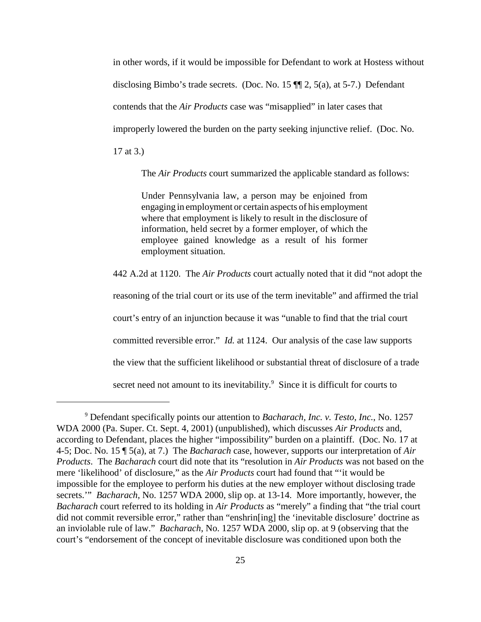in other words, if it would be impossible for Defendant to work at Hostess without disclosing Bimbo's trade secrets. (Doc. No. 15 ¶¶ 2, 5(a), at 5-7.) Defendant contends that the *Air Products* case was "misapplied" in later cases that improperly lowered the burden on the party seeking injunctive relief. (Doc. No. 17 at 3.)

The *Air Products* court summarized the applicable standard as follows:

Under Pennsylvania law, a person may be enjoined from engaging in employment or certain aspects of his employment where that employment is likely to result in the disclosure of information, held secret by a former employer, of which the employee gained knowledge as a result of his former employment situation.

442 A.2d at 1120. The *Air Products* court actually noted that it did "not adopt the reasoning of the trial court or its use of the term inevitable" and affirmed the trial court's entry of an injunction because it was "unable to find that the trial court committed reversible error." *Id.* at 1124. Our analysis of the case law supports the view that the sufficient likelihood or substantial threat of disclosure of a trade secret need not amount to its inevitability.<sup>9</sup> Since it is difficult for courts to

<sup>9</sup> Defendant specifically points our attention to *Bacharach, Inc. v. Testo, Inc.*, No. 1257 WDA 2000 (Pa. Super. Ct. Sept. 4, 2001) (unpublished), which discusses *Air Products* and, according to Defendant, places the higher "impossibility" burden on a plaintiff. (Doc. No. 17 at 4-5; Doc. No. 15 ¶ 5(a), at 7.) The *Bacharach* case, however, supports our interpretation of *Air Products*. The *Bacharach* court did note that its "resolution in *Air Products* was not based on the mere 'likelihood' of disclosure," as the *Air Products* court had found that "'it would be impossible for the employee to perform his duties at the new employer without disclosing trade secrets.'" *Bacharach*, No. 1257 WDA 2000, slip op. at 13-14. More importantly, however, the *Bacharach* court referred to its holding in *Air Products* as "merely" a finding that "the trial court did not commit reversible error," rather than "enshrin[ing] the 'inevitable disclosure' doctrine as an inviolable rule of law." *Bacharach*, No. 1257 WDA 2000, slip op. at 9 (observing that the court's "endorsement of the concept of inevitable disclosure was conditioned upon both the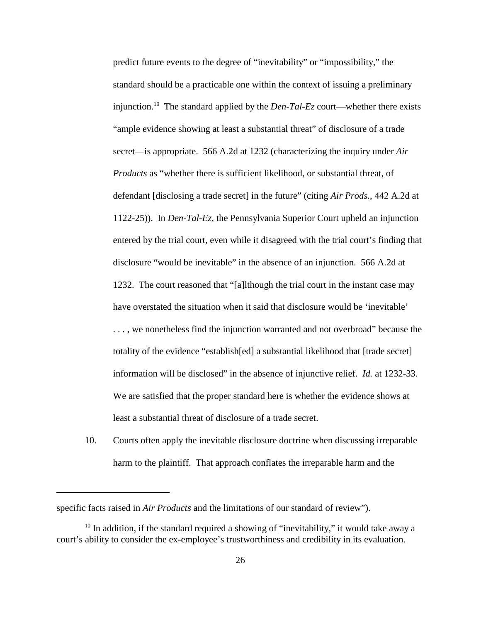predict future events to the degree of "inevitability" or "impossibility," the standard should be a practicable one within the context of issuing a preliminary injunction. <sup>10</sup> The standard applied by the *Den-Tal-Ez* court—whether there exists "ample evidence showing at least a substantial threat" of disclosure of a trade secret—is appropriate. 566 A.2d at 1232 (characterizing the inquiry under *Air Products* as "whether there is sufficient likelihood, or substantial threat, of defendant [disclosing a trade secret] in the future" (citing *Air Prods.*, 442 A.2d at 1122-25)). In *Den-Tal-Ez*, the Pennsylvania Superior Court upheld an injunction entered by the trial court, even while it disagreed with the trial court's finding that disclosure "would be inevitable" in the absence of an injunction. 566 A.2d at 1232. The court reasoned that "[a]lthough the trial court in the instant case may have overstated the situation when it said that disclosure would be 'inevitable' . . . , we nonetheless find the injunction warranted and not overbroad" because the totality of the evidence "establish[ed] a substantial likelihood that [trade secret] information will be disclosed" in the absence of injunctive relief. *Id.* at 1232-33. We are satisfied that the proper standard here is whether the evidence shows at least a substantial threat of disclosure of a trade secret.

10. Courts often apply the inevitable disclosure doctrine when discussing irreparable harm to the plaintiff. That approach conflates the irreparable harm and the

specific facts raised in *Air Products* and the limitations of our standard of review").

 $10$  In addition, if the standard required a showing of "inevitability," it would take away a court's ability to consider the ex-employee's trustworthiness and credibility in its evaluation.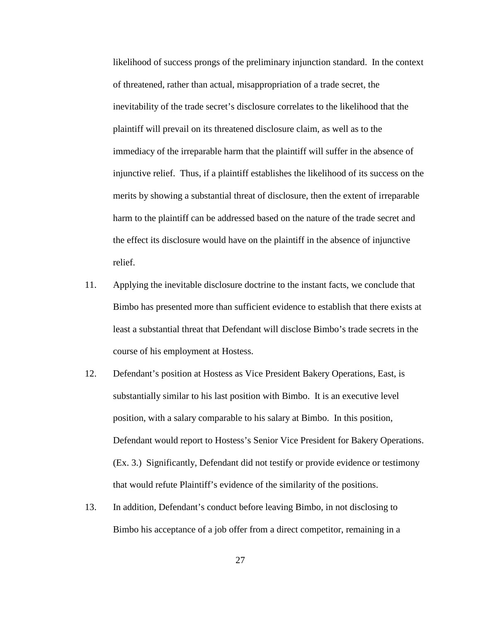likelihood of success prongs of the preliminary injunction standard. In the context of threatened, rather than actual, misappropriation of a trade secret, the inevitability of the trade secret's disclosure correlates to the likelihood that the plaintiff will prevail on its threatened disclosure claim, as well as to the immediacy of the irreparable harm that the plaintiff will suffer in the absence of injunctive relief. Thus, if a plaintiff establishes the likelihood of its success on the merits by showing a substantial threat of disclosure, then the extent of irreparable harm to the plaintiff can be addressed based on the nature of the trade secret and the effect its disclosure would have on the plaintiff in the absence of injunctive relief.

- 11. Applying the inevitable disclosure doctrine to the instant facts, we conclude that Bimbo has presented more than sufficient evidence to establish that there exists at least a substantial threat that Defendant will disclose Bimbo's trade secrets in the course of his employment at Hostess.
- 12. Defendant's position at Hostess as Vice President Bakery Operations, East, is substantially similar to his last position with Bimbo. It is an executive level position, with a salary comparable to his salary at Bimbo. In this position, Defendant would report to Hostess's Senior Vice President for Bakery Operations. (Ex. 3.) Significantly, Defendant did not testify or provide evidence or testimony that would refute Plaintiff's evidence of the similarity of the positions.
- 13. In addition, Defendant's conduct before leaving Bimbo, in not disclosing to Bimbo his acceptance of a job offer from a direct competitor, remaining in a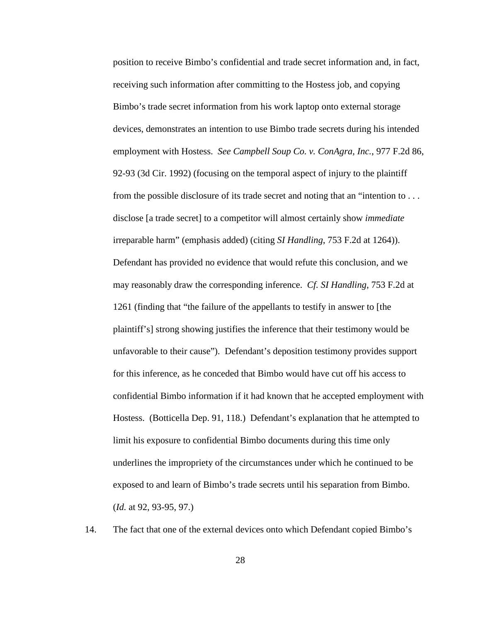position to receive Bimbo's confidential and trade secret information and, in fact, receiving such information after committing to the Hostess job, and copying Bimbo's trade secret information from his work laptop onto external storage devices, demonstrates an intention to use Bimbo trade secrets during his intended employment with Hostess. *See Campbell Soup Co. v. ConAgra, Inc.*, 977 F.2d 86, 92-93 (3d Cir. 1992) (focusing on the temporal aspect of injury to the plaintiff from the possible disclosure of its trade secret and noting that an "intention to . . . disclose [a trade secret] to a competitor will almost certainly show *immediate* irreparable harm" (emphasis added) (citing *SI Handling*, 753 F.2d at 1264)). Defendant has provided no evidence that would refute this conclusion, and we may reasonably draw the corresponding inference. *Cf. SI Handling*, 753 F.2d at 1261 (finding that "the failure of the appellants to testify in answer to [the plaintiff's] strong showing justifies the inference that their testimony would be unfavorable to their cause"). Defendant's deposition testimony provides support for this inference, as he conceded that Bimbo would have cut off his access to confidential Bimbo information if it had known that he accepted employment with Hostess. (Botticella Dep. 91, 118.) Defendant's explanation that he attempted to limit his exposure to confidential Bimbo documents during this time only underlines the impropriety of the circumstances under which he continued to be exposed to and learn of Bimbo's trade secrets until his separation from Bimbo. (*Id.* at 92, 93-95, 97.)

14. The fact that one of the external devices onto which Defendant copied Bimbo's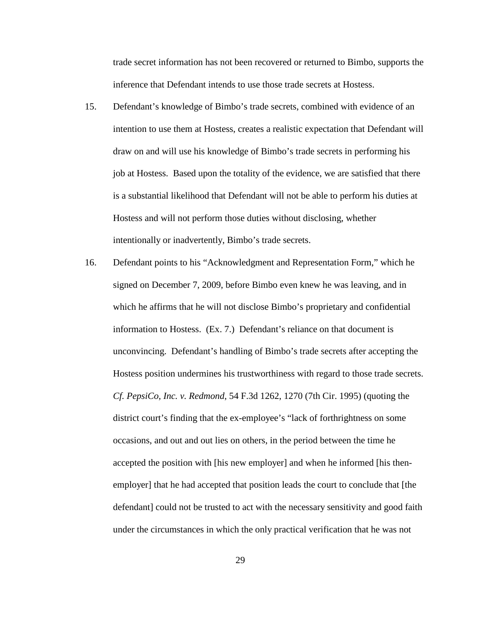trade secret information has not been recovered or returned to Bimbo, supports the inference that Defendant intends to use those trade secrets at Hostess.

- 15. Defendant's knowledge of Bimbo's trade secrets, combined with evidence of an intention to use them at Hostess, creates a realistic expectation that Defendant will draw on and will use his knowledge of Bimbo's trade secrets in performing his job at Hostess. Based upon the totality of the evidence, we are satisfied that there is a substantial likelihood that Defendant will not be able to perform his duties at Hostess and will not perform those duties without disclosing, whether intentionally or inadvertently, Bimbo's trade secrets.
- 16. Defendant points to his "Acknowledgment and Representation Form," which he signed on December 7, 2009, before Bimbo even knew he was leaving, and in which he affirms that he will not disclose Bimbo's proprietary and confidential information to Hostess. (Ex. 7.) Defendant's reliance on that document is unconvincing. Defendant's handling of Bimbo's trade secrets after accepting the Hostess position undermines his trustworthiness with regard to those trade secrets. *Cf. PepsiCo, Inc. v. Redmond*, 54 F.3d 1262, 1270 (7th Cir. 1995) (quoting the district court's finding that the ex-employee's "lack of forthrightness on some occasions, and out and out lies on others, in the period between the time he accepted the position with [his new employer] and when he informed [his thenemployer] that he had accepted that position leads the court to conclude that [the defendant] could not be trusted to act with the necessary sensitivity and good faith under the circumstances in which the only practical verification that he was not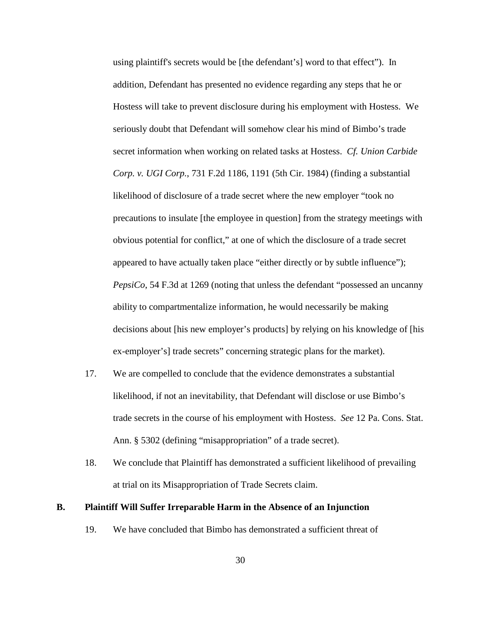using plaintiff's secrets would be [the defendant's] word to that effect"). In addition, Defendant has presented no evidence regarding any steps that he or Hostess will take to prevent disclosure during his employment with Hostess. We seriously doubt that Defendant will somehow clear his mind of Bimbo's trade secret information when working on related tasks at Hostess. *Cf. Union Carbide Corp. v. UGI Corp.*, 731 F.2d 1186, 1191 (5th Cir. 1984) (finding a substantial likelihood of disclosure of a trade secret where the new employer "took no precautions to insulate [the employee in question] from the strategy meetings with obvious potential for conflict," at one of which the disclosure of a trade secret appeared to have actually taken place "either directly or by subtle influence"); *PepsiCo*, 54 F.3d at 1269 (noting that unless the defendant "possessed an uncanny ability to compartmentalize information, he would necessarily be making decisions about [his new employer's products] by relying on his knowledge of [his ex-employer's] trade secrets" concerning strategic plans for the market).

- 17. We are compelled to conclude that the evidence demonstrates a substantial likelihood, if not an inevitability, that Defendant will disclose or use Bimbo's trade secrets in the course of his employment with Hostess. *See* 12 Pa. Cons. Stat. Ann. § 5302 (defining "misappropriation" of a trade secret).
- 18. We conclude that Plaintiff has demonstrated a sufficient likelihood of prevailing at trial on its Misappropriation of Trade Secrets claim.

### **B. Plaintiff Will Suffer Irreparable Harm in the Absence of an Injunction**

19. We have concluded that Bimbo has demonstrated a sufficient threat of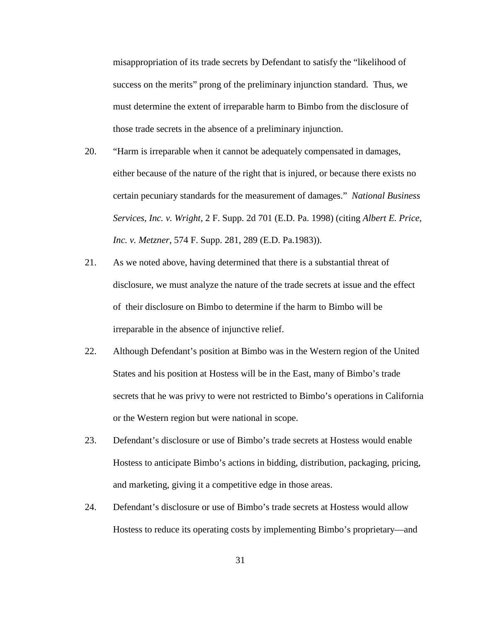misappropriation of its trade secrets by Defendant to satisfy the "likelihood of success on the merits" prong of the preliminary injunction standard. Thus, we must determine the extent of irreparable harm to Bimbo from the disclosure of those trade secrets in the absence of a preliminary injunction.

- 20. "Harm is irreparable when it cannot be adequately compensated in damages, either because of the nature of the right that is injured, or because there exists no certain pecuniary standards for the measurement of damages." *National Business Services, Inc. v. Wright*, 2 F. Supp. 2d 701 (E.D. Pa. 1998) (citing *Albert E. Price, Inc. v. Metzner*, 574 F. Supp. 281, 289 (E.D. Pa.1983)).
- 21. As we noted above, having determined that there is a substantial threat of disclosure, we must analyze the nature of the trade secrets at issue and the effect of their disclosure on Bimbo to determine if the harm to Bimbo will be irreparable in the absence of injunctive relief.
- 22. Although Defendant's position at Bimbo was in the Western region of the United States and his position at Hostess will be in the East, many of Bimbo's trade secrets that he was privy to were not restricted to Bimbo's operations in California or the Western region but were national in scope.
- 23. Defendant's disclosure or use of Bimbo's trade secrets at Hostess would enable Hostess to anticipate Bimbo's actions in bidding, distribution, packaging, pricing, and marketing, giving it a competitive edge in those areas.
- 24. Defendant's disclosure or use of Bimbo's trade secrets at Hostess would allow Hostess to reduce its operating costs by implementing Bimbo's proprietary—and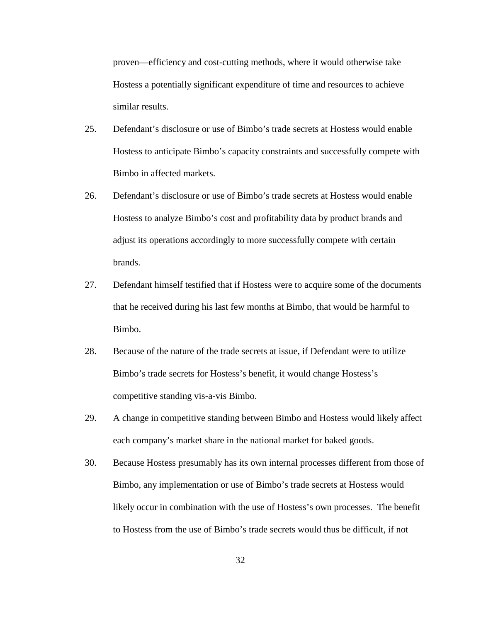proven—efficiency and cost-cutting methods, where it would otherwise take Hostess a potentially significant expenditure of time and resources to achieve similar results.

- 25. Defendant's disclosure or use of Bimbo's trade secrets at Hostess would enable Hostess to anticipate Bimbo's capacity constraints and successfully compete with Bimbo in affected markets.
- 26. Defendant's disclosure or use of Bimbo's trade secrets at Hostess would enable Hostess to analyze Bimbo's cost and profitability data by product brands and adjust its operations accordingly to more successfully compete with certain brands.
- 27. Defendant himself testified that if Hostess were to acquire some of the documents that he received during his last few months at Bimbo, that would be harmful to Bimbo.
- 28. Because of the nature of the trade secrets at issue, if Defendant were to utilize Bimbo's trade secrets for Hostess's benefit, it would change Hostess's competitive standing vis-a-vis Bimbo.
- 29. A change in competitive standing between Bimbo and Hostess would likely affect each company's market share in the national market for baked goods.
- 30. Because Hostess presumably has its own internal processes different from those of Bimbo, any implementation or use of Bimbo's trade secrets at Hostess would likely occur in combination with the use of Hostess's own processes. The benefit to Hostess from the use of Bimbo's trade secrets would thus be difficult, if not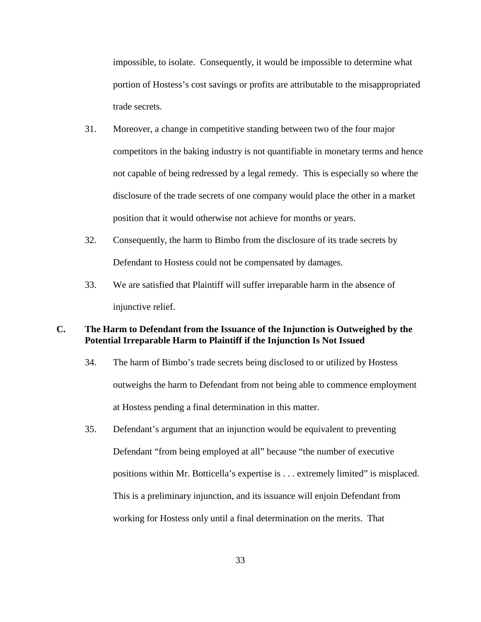impossible, to isolate. Consequently, it would be impossible to determine what portion of Hostess's cost savings or profits are attributable to the misappropriated trade secrets.

- 31. Moreover, a change in competitive standing between two of the four major competitors in the baking industry is not quantifiable in monetary terms and hence not capable of being redressed by a legal remedy. This is especially so where the disclosure of the trade secrets of one company would place the other in a market position that it would otherwise not achieve for months or years.
- 32. Consequently, the harm to Bimbo from the disclosure of its trade secrets by Defendant to Hostess could not be compensated by damages.
- 33. We are satisfied that Plaintiff will suffer irreparable harm in the absence of injunctive relief.

## **C. The Harm to Defendant from the Issuance of the Injunction is Outweighed by the Potential Irreparable Harm to Plaintiff if the Injunction Is Not Issued**

- 34. The harm of Bimbo's trade secrets being disclosed to or utilized by Hostess outweighs the harm to Defendant from not being able to commence employment at Hostess pending a final determination in this matter.
- 35. Defendant's argument that an injunction would be equivalent to preventing Defendant "from being employed at all" because "the number of executive positions within Mr. Botticella's expertise is . . . extremely limited" is misplaced. This is a preliminary injunction, and its issuance will enjoin Defendant from working for Hostess only until a final determination on the merits. That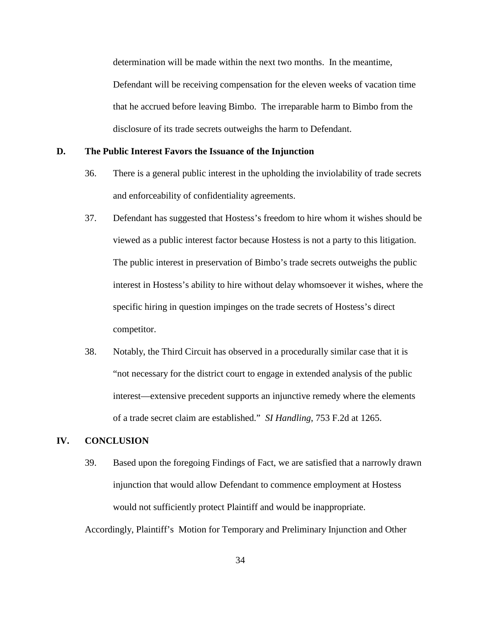determination will be made within the next two months. In the meantime, Defendant will be receiving compensation for the eleven weeks of vacation time that he accrued before leaving Bimbo. The irreparable harm to Bimbo from the disclosure of its trade secrets outweighs the harm to Defendant.

#### **D. The Public Interest Favors the Issuance of the Injunction**

- 36. There is a general public interest in the upholding the inviolability of trade secrets and enforceability of confidentiality agreements.
- 37. Defendant has suggested that Hostess's freedom to hire whom it wishes should be viewed as a public interest factor because Hostess is not a party to this litigation. The public interest in preservation of Bimbo's trade secrets outweighs the public interest in Hostess's ability to hire without delay whomsoever it wishes, where the specific hiring in question impinges on the trade secrets of Hostess's direct competitor.
- 38. Notably, the Third Circuit has observed in a procedurally similar case that it is "not necessary for the district court to engage in extended analysis of the public interest—extensive precedent supports an injunctive remedy where the elements of a trade secret claim are established." *SI Handling*, 753 F.2d at 1265.

## **IV. CONCLUSION**

39. Based upon the foregoing Findings of Fact, we are satisfied that a narrowly drawn injunction that would allow Defendant to commence employment at Hostess would not sufficiently protect Plaintiff and would be inappropriate.

Accordingly, Plaintiff's Motion for Temporary and Preliminary Injunction and Other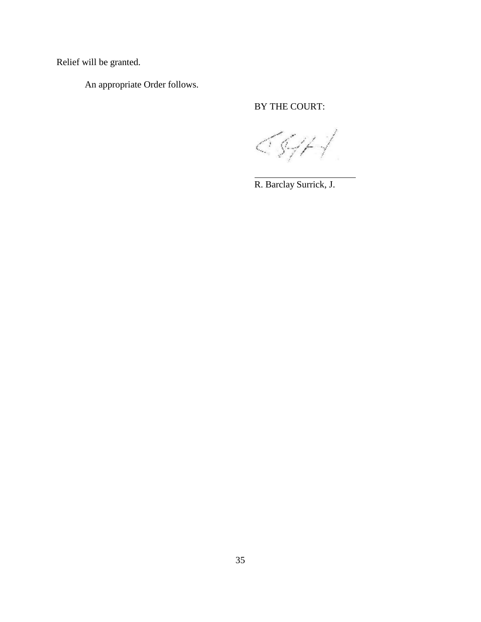Relief will be granted.

An appropriate Order follows.

# BY THE COURT:

5547 L

R. Barclay Surrick, J.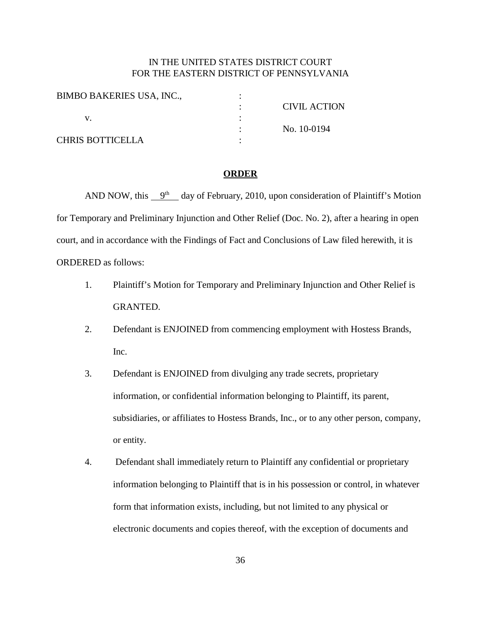## IN THE UNITED STATES DISTRICT COURT FOR THE EASTERN DISTRICT OF PENNSYLVANIA

| <b>BIMBO BAKERIES USA, INC.,</b> |                     |
|----------------------------------|---------------------|
|                                  | <b>CIVIL ACTION</b> |
|                                  |                     |
|                                  | No. 10-0194         |
| <b>CHRIS BOTTICELLA</b>          |                     |

#### **ORDER**

AND NOW, this  $9<sup>th</sup>$  day of February, 2010, upon consideration of Plaintiff's Motion for Temporary and Preliminary Injunction and Other Relief (Doc. No. 2), after a hearing in open court, and in accordance with the Findings of Fact and Conclusions of Law filed herewith, it is ORDERED as follows:

- 1. Plaintiff's Motion for Temporary and Preliminary Injunction and Other Relief is GRANTED.
- 2. Defendant is ENJOINED from commencing employment with Hostess Brands, Inc.
- 3. Defendant is ENJOINED from divulging any trade secrets, proprietary information, or confidential information belonging to Plaintiff, its parent, subsidiaries, or affiliates to Hostess Brands, Inc., or to any other person, company, or entity.
- 4. Defendant shall immediately return to Plaintiff any confidential or proprietary information belonging to Plaintiff that is in his possession or control, in whatever form that information exists, including, but not limited to any physical or electronic documents and copies thereof, with the exception of documents and